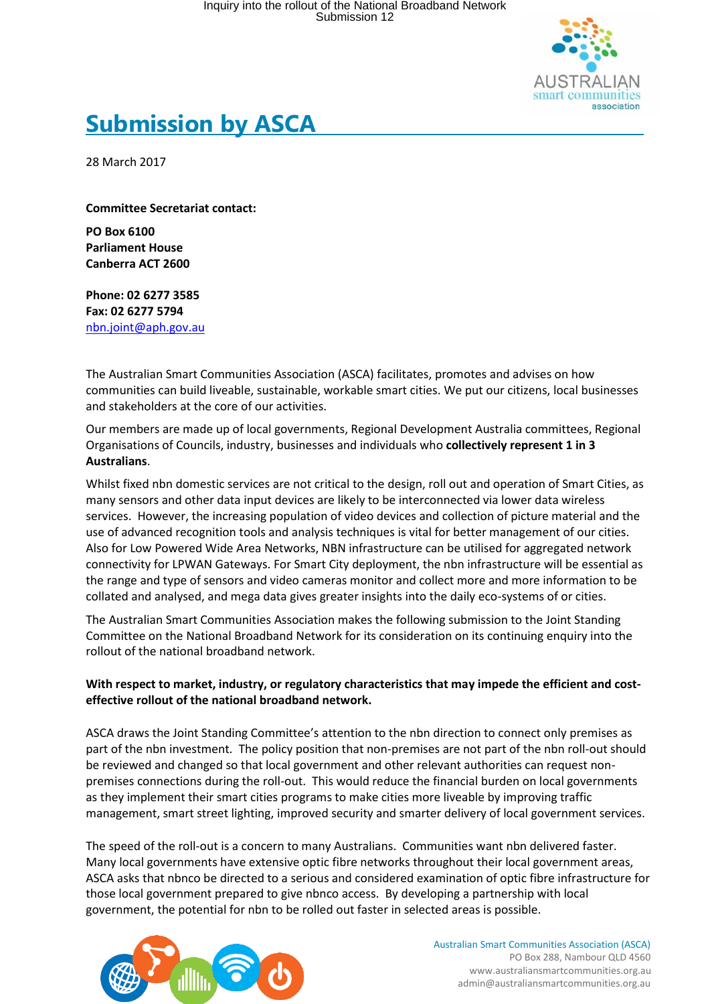

# **Submission by ASCA**

28 March 2017

**Committee Secretariat contact:**

**PO Box 6100 Parliament House Canberra ACT 2600** 

**Phone: 02 6277 3585 Fax: 02 6277 5794** [nbn.joint@aph.gov.au](mailto:nbn.joint@aph.gov.au)

The Australian Smart Communities Association (ASCA) facilitates, promotes and advises on how communities can build liveable, sustainable, workable smart cities. We put our citizens, local businesses and stakeholders at the core of our activities.

Our members are made up of local governments, Regional Development Australia committees, Regional Organisations of Councils, industry, businesses and individuals who **collectively represent 1 in 3 Australians**.

Whilst fixed nbn domestic services are not critical to the design, roll out and operation of Smart Cities, as many sensors and other data input devices are likely to be interconnected via lower data wireless services. However, the increasing population of video devices and collection of picture material and the use of advanced recognition tools and analysis techniques is vital for better management of our cities. Also for Low Powered Wide Area Networks, NBN infrastructure can be utilised for aggregated network connectivity for LPWAN Gateways. For Smart City deployment, the nbn infrastructure will be essential as the range and type of sensors and video cameras monitor and collect more and more information to be collated and analysed, and mega data gives greater insights into the daily eco-systems of or cities.

The Australian Smart Communities Association makes the following submission to the Joint Standing Committee on the National Broadband Network for its consideration on its continuing enquiry into the rollout of the national broadband network.

#### **With respect to market, industry, or regulatory characteristics that may impede the efficient and costeffective rollout of the national broadband network.**

ASCA draws the Joint Standing Committee's attention to the nbn direction to connect only premises as part of the nbn investment. The policy position that non-premises are not part of the nbn roll-out should be reviewed and changed so that local government and other relevant authorities can request nonpremises connections during the roll-out. This would reduce the financial burden on local governments as they implement their smart cities programs to make cities more liveable by improving traffic management, smart street lighting, improved security and smarter delivery of local government services.

The speed of the roll-out is a concern to many Australians. Communities want nbn delivered faster. Many local governments have extensive optic fibre networks throughout their local government areas, ASCA asks that nbnco be directed to a serious and considered examination of optic fibre infrastructure for those local government prepared to give nbnco access. By developing a partnership with local government, the potential for nbn to be rolled out faster in selected areas is possible.



Australian Smart Communities Association (ASCA) PO Box 288, Nambour QLD 4560 www.australiansmartcommunities.org.au admin@australiansmartcommunities.org.au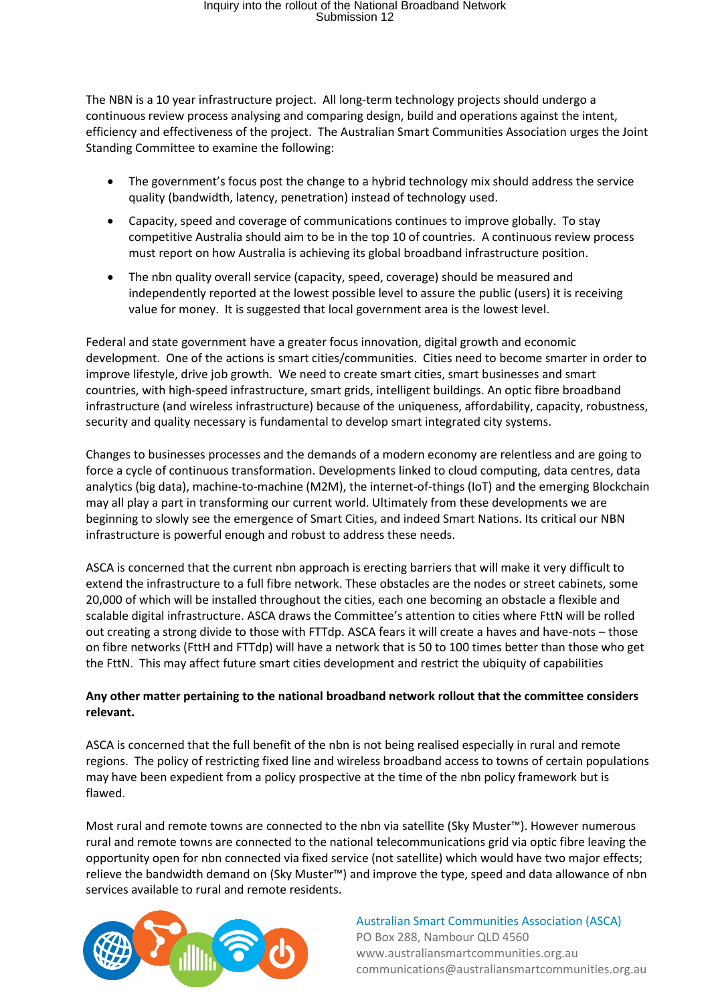# Inquiry into the rollout of the National Broadband Network Submission 12

The NBN is a 10 year infrastructure project. All long-term technology projects should undergo a continuous review process analysing and comparing design, build and operations against the intent, efficiency and effectiveness of the project. The Australian Smart Communities Association urges the Joint Standing Committee to examine the following:

- The government's focus post the change to a hybrid technology mix should address the service quality (bandwidth, latency, penetration) instead of technology used.
- Capacity, speed and coverage of communications continues to improve globally. To stay competitive Australia should aim to be in the top 10 of countries. A continuous review process must report on how Australia is achieving its global broadband infrastructure position.
- The nbn quality overall service (capacity, speed, coverage) should be measured and independently reported at the lowest possible level to assure the public (users) it is receiving value for money. It is suggested that local government area is the lowest level.

Federal and state government have a greater focus innovation, digital growth and economic development. One of the actions is smart cities/communities. Cities need to become smarter in order to improve lifestyle, drive job growth. We need to create smart cities, smart businesses and smart countries, with high-speed infrastructure, smart grids, intelligent buildings. An optic fibre broadband infrastructure (and wireless infrastructure) because of the uniqueness, affordability, capacity, robustness, security and quality necessary is fundamental to develop smart integrated city systems.

Changes to businesses processes and the demands of a modern economy are relentless and are going to force a cycle of continuous transformation. Developments linked to cloud computing, data centres, data analytics (big data), machine-to-machine (M2M), the internet-of-things (IoT) and the emerging Blockchain may all play a part in transforming our current world. Ultimately from these developments we are beginning to slowly see the emergence of Smart Cities, and indeed Smart Nations. Its critical our NBN infrastructure is powerful enough and robust to address these needs.

ASCA is concerned that the current nbn approach is erecting barriers that will make it very difficult to extend the infrastructure to a full fibre network. These obstacles are the nodes or street cabinets, some 20,000 of which will be installed throughout the cities, each one becoming an obstacle a flexible and scalable digital infrastructure. ASCA draws the Committee's attention to cities where FttN will be rolled out creating a strong divide to those with FTTdp. ASCA fears it will create a haves and have-nots – those on fibre networks (FttH and FTTdp) will have a network that is 50 to 100 times better than those who get the FttN. This may affect future smart cities development and restrict the ubiquity of capabilities

### **Any other matter pertaining to the national broadband network rollout that the committee considers relevant.**

ASCA is concerned that the full benefit of the nbn is not being realised especially in rural and remote regions. The policy of restricting fixed line and wireless broadband access to towns of certain populations may have been expedient from a policy prospective at the time of the nbn policy framework but is flawed.

Most rural and remote towns are connected to the nbn via satellite (Sky Muster™). However numerous rural and remote towns are connected to the national telecommunications grid via optic fibre leaving the opportunity open for nbn connected via fixed service (not satellite) which would have two major effects; relieve the bandwidth demand on (Sky Muster™) and improve the type, speed and data allowance of nbn services available to rural and remote residents.



Australian Smart Communities Association (ASCA) PO Box 288, Nambour QLD 4560 www.australiansmartcommunities.org.au communications@australiansmartcommunities.org.au